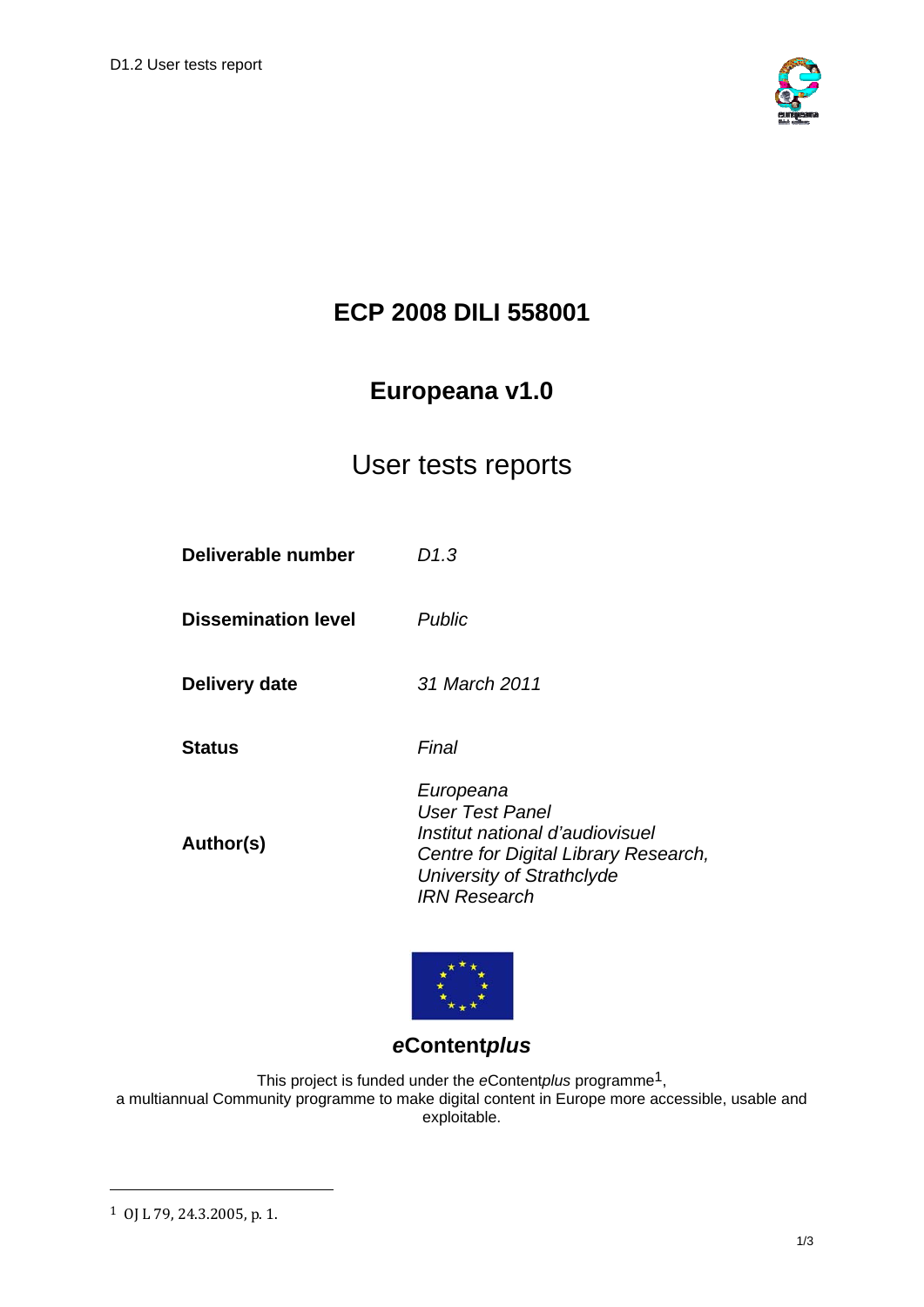

# **ECP 2008 DILI 558001**

# **Europeana v1.0**

## User tests reports

| Deliverable number         | D1.3                                                                                                                                                        |
|----------------------------|-------------------------------------------------------------------------------------------------------------------------------------------------------------|
| <b>Dissemination level</b> | Public                                                                                                                                                      |
| Delivery date              | 31 March 2011                                                                                                                                               |
| Status                     | Final                                                                                                                                                       |
| Author(s)                  | Europeana<br>User Test Panel<br>Institut national d'audiovisuel<br>Centre for Digital Library Research,<br>University of Strathclyde<br><b>IRN Research</b> |



## *e***Content***plus*

This project is funded under the *e*Content*plus* programme1, a multiannual Community programme to make digital content in Europe more accessible, usable and exploitable.

1

<sup>1</sup> OJ L 79, 24.3.2005, p. 1.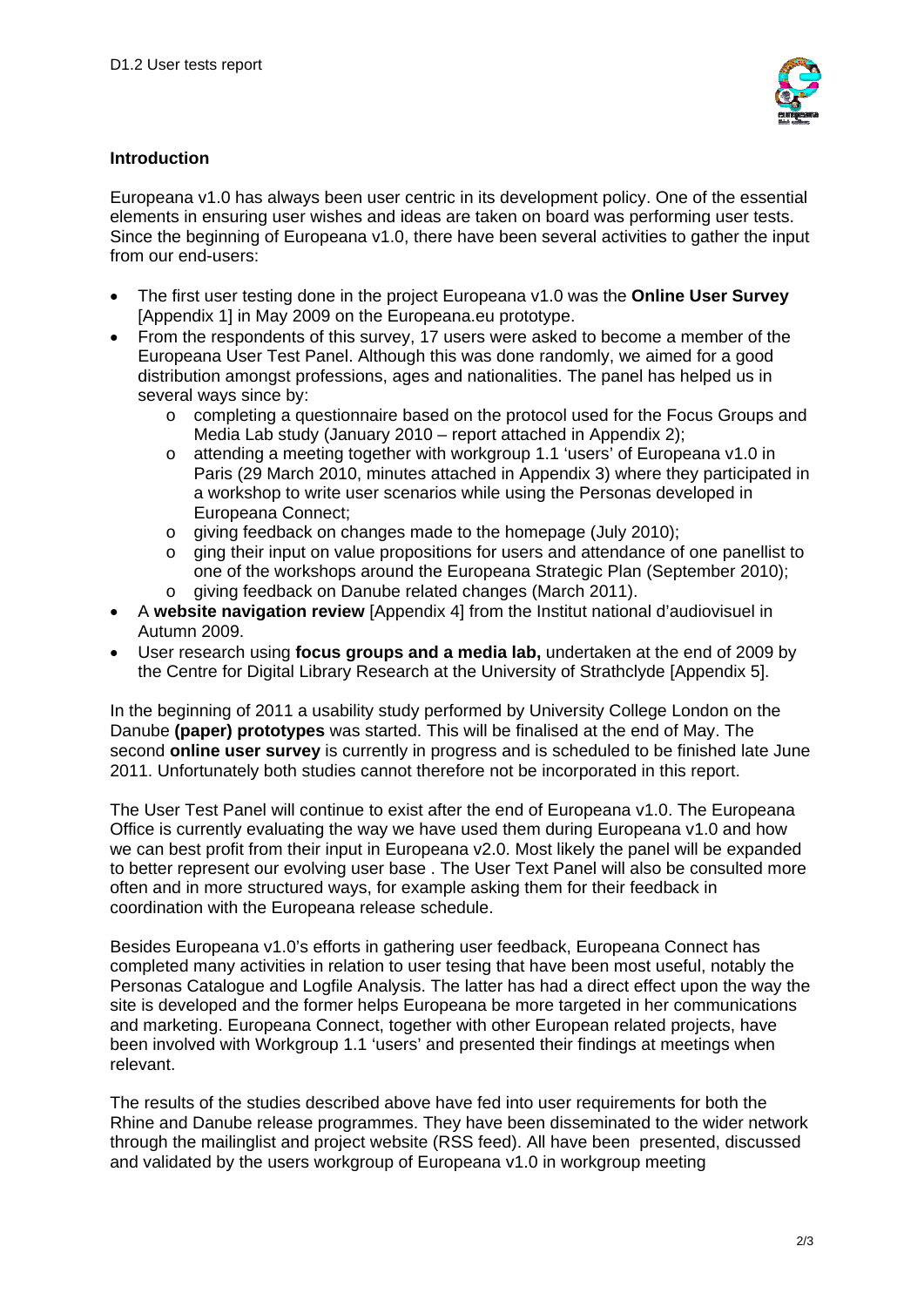

#### **Introduction**

Europeana v1.0 has always been user centric in its development policy. One of the essential elements in ensuring user wishes and ideas are taken on board was performing user tests. Since the beginning of Europeana v1.0, there have been several activities to gather the input from our end-users:

- The first user testing done in the project Europeana v1.0 was the **Online User Survey** [Appendix 1] in May 2009 on the Europeana.eu prototype.
- From the respondents of this survey, 17 users were asked to become a member of the Europeana User Test Panel. Although this was done randomly, we aimed for a good distribution amongst professions, ages and nationalities. The panel has helped us in several ways since by:
	- o completing a questionnaire based on the protocol used for the Focus Groups and Media Lab study (January 2010 – report attached in Appendix 2);
	- o attending a meeting together with workgroup 1.1 'users' of Europeana v1.0 in Paris (29 March 2010, minutes attached in Appendix 3) where they participated in a workshop to write user scenarios while using the Personas developed in Europeana Connect;
	- o giving feedback on changes made to the homepage (July 2010);
	- o ging their input on value propositions for users and attendance of one panellist to one of the workshops around the Europeana Strategic Plan (September 2010);
	- o giving feedback on Danube related changes (March 2011).
- A **website navigation review** [Appendix 4] from the Institut national d'audiovisuel in Autumn 2009.
- User research using **focus groups and a media lab,** undertaken at the end of 2009 by the Centre for Digital Library Research at the University of Strathclyde [Appendix 5].

In the beginning of 2011 a usability study performed by University College London on the Danube **(paper) prototypes** was started. This will be finalised at the end of May. The second **online user survey** is currently in progress and is scheduled to be finished late June 2011. Unfortunately both studies cannot therefore not be incorporated in this report.

The User Test Panel will continue to exist after the end of Europeana v1.0. The Europeana Office is currently evaluating the way we have used them during Europeana v1.0 and how we can best profit from their input in Europeana v2.0. Most likely the panel will be expanded to better represent our evolving user base . The User Text Panel will also be consulted more often and in more structured ways, for example asking them for their feedback in coordination with the Europeana release schedule.

Besides Europeana v1.0's efforts in gathering user feedback, Europeana Connect has completed many activities in relation to user tesing that have been most useful, notably the Personas Catalogue and Logfile Analysis. The latter has had a direct effect upon the way the site is developed and the former helps Europeana be more targeted in her communications and marketing. Europeana Connect, together with other European related projects, have been involved with Workgroup 1.1 'users' and presented their findings at meetings when relevant.

The results of the studies described above have fed into user requirements for both the Rhine and Danube release programmes. They have been disseminated to the wider network through the mailinglist and project website (RSS feed). All have been presented, discussed and validated by the users workgroup of Europeana v1.0 in workgroup meeting